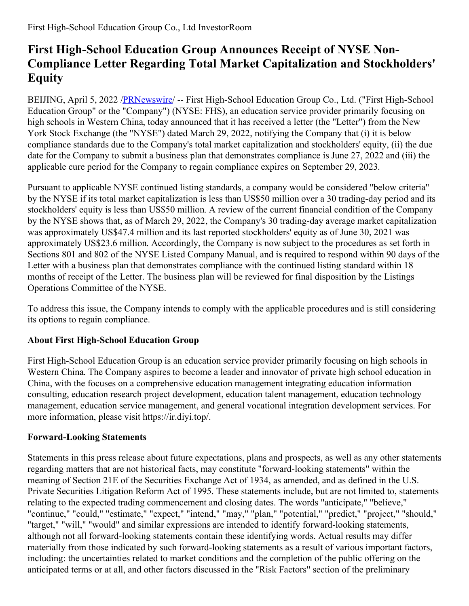## **First High-School Education Group Announces Receipt of NYSE Non-Compliance Letter Regarding Total Market Capitalization and Stockholders' Equity**

BEIJING, April 5, 2022 [/PRNewswire](http://www.prnewswire.com/)/ -- First High-School Education Group Co., Ltd. ("First High-School Education Group" or the "Company") (NYSE: FHS), an education service provider primarily focusing on high schools in Western China, today announced that it has received a letter (the "Letter") from the New York Stock Exchange (the "NYSE") dated March 29, 2022, notifying the Company that (i) it is below compliance standards due to the Company's total market capitalization and stockholders' equity, (ii) the due date for the Company to submit a business plan that demonstrates compliance is June 27, 2022 and (iii) the applicable cure period for the Company to regain compliance expires on September 29, 2023.

Pursuant to applicable NYSE continued listing standards, a company would be considered "below criteria" by the NYSE if its total market capitalization is less than US\$50 million over a 30 trading-day period and its stockholders' equity is less than US\$50 million. A review of the current financial condition of the Company by the NYSE shows that, as of March 29, 2022, the Company's 30 trading-day average market capitalization was approximately US\$47.4 million and its last reported stockholders' equity as of June 30, 2021 was approximately US\$23.6 million. Accordingly, the Company is now subject to the procedures as set forth in Sections 801 and 802 of the NYSE Listed Company Manual, and is required to respond within 90 days of the Letter with a business plan that demonstrates compliance with the continued listing standard within 18 months of receipt of the Letter. The business plan will be reviewed for final disposition by the Listings Operations Committee of the NYSE.

To address this issue, the Company intends to comply with the applicable procedures and is still considering its options to regain compliance.

## **About First High-School Education Group**

First High-School Education Group is an education service provider primarily focusing on high schools in Western China. The Company aspires to become a leader and innovator of private high school education in China, with the focuses on a comprehensive education management integrating education information consulting, education research project development, education talent management, education technology management, education service management, and general vocational integration development services. For more information, please visit https://ir.diyi.top/.

## **Forward-Looking Statements**

Statements in this press release about future expectations, plans and prospects, as well as any other statements regarding matters that are not historical facts, may constitute "forward-looking statements" within the meaning of Section 21E of the Securities Exchange Act of 1934, as amended, and as defined in the U.S. Private Securities Litigation Reform Act of 1995. These statements include, but are not limited to, statements relating to the expected trading commencement and closing dates. The words "anticipate," "believe," "continue," "could," "estimate," "expect," "intend," "may," "plan," "potential," "predict," "project," "should," "target," "will," "would" and similar expressions are intended to identify forward-looking statements, although not all forward-looking statements contain these identifying words. Actual results may differ materially from those indicated by such forward-looking statements as a result of various important factors, including: the uncertainties related to market conditions and the completion of the public offering on the anticipated terms or at all, and other factors discussed in the "Risk Factors" section of the preliminary